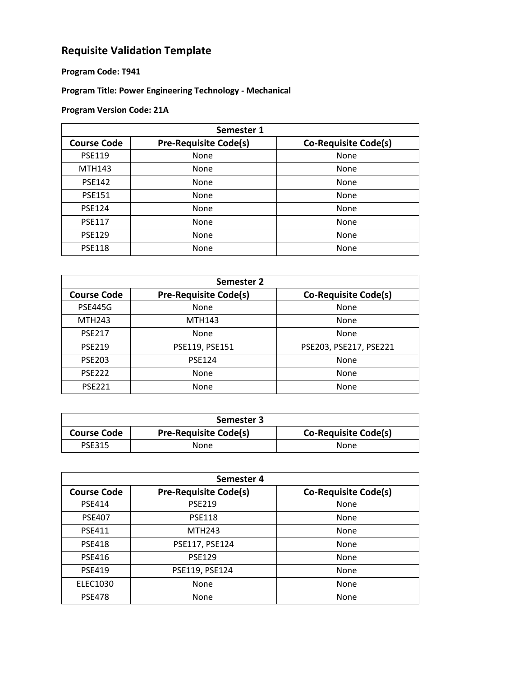## **Requisite Validation Template**

## **Program Code: T941**

## **Program Title: Power Engineering Technology - Mechanical**

## **Program Version Code: 21A**

| Semester 1         |                              |                             |
|--------------------|------------------------------|-----------------------------|
| <b>Course Code</b> | <b>Pre-Requisite Code(s)</b> | <b>Co-Requisite Code(s)</b> |
| <b>PSE119</b>      | None                         | None                        |
| <b>MTH143</b>      | None                         | None                        |
| <b>PSE142</b>      | None                         | None                        |
| <b>PSE151</b>      | None                         | None                        |
| <b>PSE124</b>      | None                         | None                        |
| <b>PSE117</b>      | None                         | None                        |
| <b>PSE129</b>      | None                         | None                        |
| <b>PSE118</b>      | None                         | None                        |

| Semester 2         |                              |                             |
|--------------------|------------------------------|-----------------------------|
| <b>Course Code</b> | <b>Pre-Requisite Code(s)</b> | <b>Co-Requisite Code(s)</b> |
| <b>PSE445G</b>     | None                         | None                        |
| <b>MTH243</b>      | <b>MTH143</b>                | None                        |
| <b>PSE217</b>      | None                         | None                        |
| <b>PSE219</b>      | PSE119, PSE151               | PSE203, PSE217, PSE221      |
| <b>PSE203</b>      | <b>PSE124</b>                | None                        |
| <b>PSE222</b>      | None                         | None                        |
| <b>PSE221</b>      | None                         | None                        |

| Semester 3         |                              |                             |
|--------------------|------------------------------|-----------------------------|
| <b>Course Code</b> | <b>Pre-Requisite Code(s)</b> | <b>Co-Requisite Code(s)</b> |
| <b>PSE315</b>      | None                         | None                        |

| Semester 4         |                              |                             |
|--------------------|------------------------------|-----------------------------|
| <b>Course Code</b> | <b>Pre-Requisite Code(s)</b> | <b>Co-Requisite Code(s)</b> |
| <b>PSE414</b>      | <b>PSE219</b>                | None                        |
| <b>PSE407</b>      | <b>PSE118</b>                | None                        |
| <b>PSE411</b>      | <b>MTH243</b>                | None                        |
| <b>PSE418</b>      | PSE117, PSE124               | None                        |
| <b>PSE416</b>      | <b>PSE129</b>                | None                        |
| <b>PSE419</b>      | PSE119, PSE124               | None                        |
| <b>ELEC1030</b>    | None                         | None                        |
| <b>PSE478</b>      | None                         | None                        |